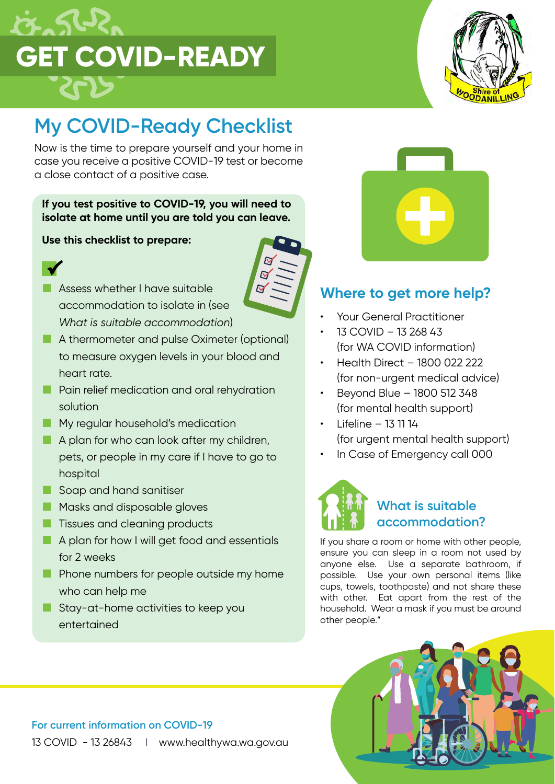



## **My COVID-Ready Checklist**

Now is the time to prepare yourself and your home in case you receive a positive COVID-19 test or become a close contact of a positive case.

#### **If you test positive to COVID-19, you will need to isolate at home until you are told you can leave.**

 $\overline{\mathbf{M}}$ 

#### **Use this checklist to prepare:**



- **Assess whether I have suitable** accommodation to isolate in (see *What is suitable accommodation*)
- A thermometer and pulse Oximeter (optional) to measure oxygen levels in your blood and heart rate.
- **Pain relief medication and oral rehydration** solution
- **My regular household's medication**
- A plan for who can look after my children, pets, or people in my care if I have to go to hospital
- Soap and hand sanitiser
- **Masks and disposable gloves**
- **T** Tissues and cleaning products
- A plan for how I will get food and essentials for 2 weeks
- **Phone numbers for people outside my home** who can help me
- Stay-at-home activities to keep you entertained



### **Where to get more help?**

- Your General Practitioner
- 13 COVID 13 268 43 (for WA COVID information)
- Health Direct 1800 022 222 (for non-urgent medical advice)
- Beyond Blue 1800 512 348 (for mental health support)
- Lifeline 13 11 14 (for urgent mental health support)
- In Case of Emergency call 000



If you share a room or home with other people, ensure you can sleep in a room not used by anyone else. Use a separate bathroom, if possible. Use your own personal items (like cups, towels, toothpaste) and not share these with other. Eat apart from the rest of the household. Wear a mask if you must be around other people."

#### **For current information on COVID-19** 13 COVID - 13 26843 | www.healthywa.wa.gov.au